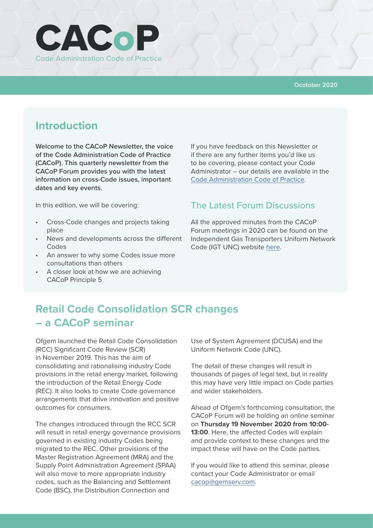

#### **Ocotober 2020**

## **Introduction**

**Welcome to the CACoP Newsletter, the voice of the Code Administration Code of Practice (CACoP). This quarterly newsletter from the CACoP Forum provides you with the latest information on cross-Code issues, important dates and key events.**

In this edition, we will be covering:

- Cross-Code changes and projects taking place
- News and developments across the different Codes
- An answer to why some Codes issue more consultations than others
- A closer look at how we are achieving CACoP Principle 5

If you have feedback on this Newsletter or if there are any further items you'd like us to be covering, please contact your Code Administrator – our details are available in the [Code Administration Code of Practice.](https://smartenergycodecompany.co.uk/download/2226/)

#### The Latest Forum Discussions

All the approved minutes from the CACoP Forum meetings in 2020 can be found on the Independent Gas Transporters Uniform Network Code (IGT UNC) website [here](https://www.igt-unc.co.uk/code-administration-code-practice/).

# **Retail Code Consolidation SCR changes – a CACoP seminar**

Ofgem launched the Retail Code Consolidation (RCC) Significant Code Review (SCR) in November 2019. This has the aim of consolidating and rationalising industry Code provisions in the retail energy market, following the introduction of the Retail Energy Code (REC). It also looks to create Code governance arrangements that drive innovation and positive outcomes for consumers.

The changes introduced through the RCC SCR will result in retail energy governance provisions governed in existing industry Codes being migrated to the REC. Other provisions of the Master Registration Agreement (MRA) and the Supply Point Administration Agreement (SPAA) will also move to more appropriate industry codes, such as the Balancing and Settlement Code (BSC), the Distribution Connection and

Use of System Agreement (DCUSA) and the Uniform Network Code (UNC).

The detail of these changes will result in thousands of pages of legal text, but in reality this may have very little impact on Code parties and wider stakeholders.

Ahead of Ofgem's forthcoming consultation, the CACoP Forum will be holding an online seminar on **Thursday 19 November 2020 from 10:00- 13:00**. Here, the affected Codes will explain and provide context to these changes and the impact these will have on the Code parties.

If you would like to attend this seminar, please contact your Code Administrator or email [cacop@gemserv.com.](mailto:cacop%40gemserv.com?subject=)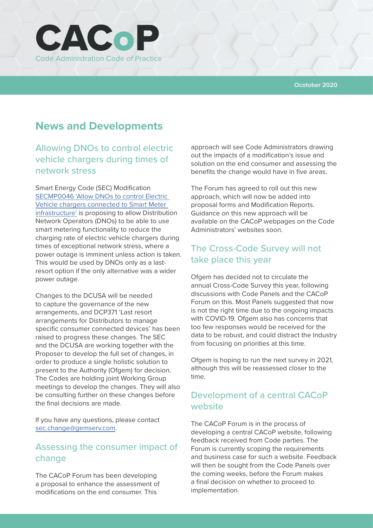

#### **Ocotober 2020**

## **News and Developments**

### Allowing DNOs to control electric vehicle chargers during times of network stress

Smart Energy Code (SEC) Modification [SECMP0046 'Allow DNOs to control Electric](https://smartenergycodecompany.co.uk/modifications/allow-dnos-to-control-electric-vehicle-chargers-connected-to-smart-meter-infrastructure/)  [Vehicle chargers connected to Smart Meter](https://smartenergycodecompany.co.uk/modifications/allow-dnos-to-control-electric-vehicle-chargers-connected-to-smart-meter-infrastructure/)  [infrastructure'](https://smartenergycodecompany.co.uk/modifications/allow-dnos-to-control-electric-vehicle-chargers-connected-to-smart-meter-infrastructure/) is proposing to allow Distribution Network Operators (DNOs) to be able to use smart metering functionality to reduce the charging rate of electric vehicle chargers during times of exceptional network stress, where a power outage is imminent unless action is taken. This would be used by DNOs only as a lastresort option if the only alternative was a wider power outage.

Changes to the DCUSA will be needed to capture the governance of the new arrangements, and DCP371 'Last resort arrangements for Distributors to manage specific consumer connected devices' has been raised to progress these changes. The SEC and the DCUSA are working together with the Proposer to develop the full set of changes, in order to produce a single holistic solution to present to the Authority (Ofgem) for decision. The Codes are holding joint Working Group meetings to develop the changes. They will also be consulting further on these changes before the final decisions are made.

If you have any questions, please contact [sec.change@gemserv.com](mailto:sec.change%40gemserv.com?subject=).

### Assessing the consumer impact of change

The CACoP Forum has been developing a proposal to enhance the assessment of modifications on the end consumer. This

approach will see Code Administrators drawing out the impacts of a modification's issue and solution on the end consumer and assessing the benefits the change would have in five areas.

The Forum has agreed to roll out this new approach, which will now be added into proposal forms and Modification Reports. Guidance on this new approach will be available on the CACoP webpages on the Code Administrators' websites soon.

#### The Cross-Code Survey will not take place this year

Ofgem has decided not to circulate the annual Cross-Code Survey this year, following discussions with Code Panels and the CACoP Forum on this. Most Panels suggested that now is not the right time due to the ongoing impacts with COVID-19. Ofgem also has concerns that too few responses would be received for the data to be robust, and could distract the Industry from focusing on priorities at this time.

Ofgem is hoping to run the next survey in 2021, although this will be reassessed closer to the time.

### Development of a central CACoP website

The CACoP Forum is in the process of developing a central CACoP website, following feedback received from Code parties. The Forum is currently scoping the requirements and business case for such a website. Feedback will then be sought from the Code Panels over the coming weeks, before the Forum makes a final decision on whether to proceed to implementation.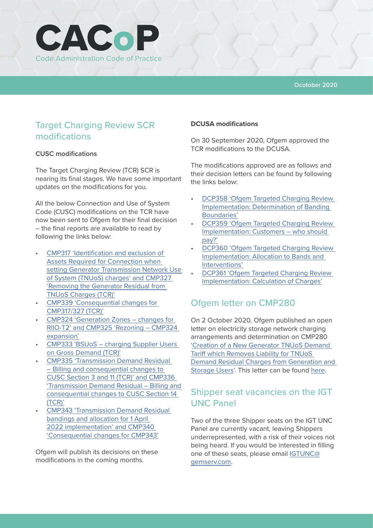

### Target Charging Review SCR modifications

#### **CUSC modifications**

The Target Charging Review (TCR) SCR is nearing its final stages. We have some important updates on the modifications for you.

All the below Connection and Use of System Code (CUSC) modifications on the TCR have now been sent to Ofgem for their final decision – the final reports are available to read by following the links below:

- [CMP317 'Identification and exclusion of](https://www.nationalgrideso.com/industry-information/codes/connection-and-use-system-code-cusc-old/modifications/cmp317-cmp327)  [Assets Required for Connection when](https://www.nationalgrideso.com/industry-information/codes/connection-and-use-system-code-cusc-old/modifications/cmp317-cmp327)  [setting Generator Transmission Network Use](https://www.nationalgrideso.com/industry-information/codes/connection-and-use-system-code-cusc-old/modifications/cmp317-cmp327)  [of System \(TNUoS\) charges' and CMP327](https://www.nationalgrideso.com/industry-information/codes/connection-and-use-system-code-cusc-old/modifications/cmp317-cmp327)  ['Removing the Generator Residual from](https://www.nationalgrideso.com/industry-information/codes/connection-and-use-system-code-cusc-old/modifications/cmp317-cmp327)  [TNUoS Charges \(TCR\)'](https://www.nationalgrideso.com/industry-information/codes/connection-and-use-system-code-cusc-old/modifications/cmp317-cmp327)
- [CMP339 'Consequential changes for](https://www.nationalgrideso.com/industry-information/codes/connection-and-use-system-code-cusc-old/modifications/cmp339)  [CMP317/327 \(TCR\)'](https://www.nationalgrideso.com/industry-information/codes/connection-and-use-system-code-cusc-old/modifications/cmp339)
- [CMP324 'Generation Zones changes for](https://www.nationalgrideso.com/industry-information/codes/connection-and-use-system-code-cusc-old/modifications/cmp324-cmp325)  [RIIO-T2' and CMP325 'Rezoning – CMP324](https://www.nationalgrideso.com/industry-information/codes/connection-and-use-system-code-cusc-old/modifications/cmp324-cmp325)  [expansion'](https://www.nationalgrideso.com/industry-information/codes/connection-and-use-system-code-cusc-old/modifications/cmp324-cmp325)
- [CMP333 'BSUoS charging Supplier Users](https://www.nationalgrideso.com/industry-information/codes/connection-and-use-system-code-cusc-old/modifications/cmp333-bsuos)  [on Gross Demand \(TCR\)'](https://www.nationalgrideso.com/industry-information/codes/connection-and-use-system-code-cusc-old/modifications/cmp333-bsuos)
- [CMP335 'Transmission Demand Residual](https://www.nationalgrideso.com/industry-information/codes/connection-and-use-system-code-cusc-old/modifications/cmp335)  [– Billing and consequential changes to](https://www.nationalgrideso.com/industry-information/codes/connection-and-use-system-code-cusc-old/modifications/cmp335)  [CUSC Section 3 and 11 \(TCR\)' and CMP336](https://www.nationalgrideso.com/industry-information/codes/connection-and-use-system-code-cusc-old/modifications/cmp335)  ['Transmission Demand Residual – Billing and](https://www.nationalgrideso.com/industry-information/codes/connection-and-use-system-code-cusc-old/modifications/cmp335)  [consequential changes to CUSC Section 14](https://www.nationalgrideso.com/industry-information/codes/connection-and-use-system-code-cusc-old/modifications/cmp335)  [\(TCR\)'](https://www.nationalgrideso.com/industry-information/codes/connection-and-use-system-code-cusc-old/modifications/cmp335)
- [CMP343 'Transmission Demand Residual](https://www.nationalgrideso.com/industry-information/codes/connection-and-use-system-code-cusc-old/modifications/cmp343-and-cmp340)  [bandings and allocation for 1 April](https://www.nationalgrideso.com/industry-information/codes/connection-and-use-system-code-cusc-old/modifications/cmp343-and-cmp340)  [2022 implementation' and CMP340](https://www.nationalgrideso.com/industry-information/codes/connection-and-use-system-code-cusc-old/modifications/cmp343-and-cmp340)  ['Consequential changes for CMP343'](https://www.nationalgrideso.com/industry-information/codes/connection-and-use-system-code-cusc-old/modifications/cmp343-and-cmp340)

Ofgem will publish its decisions on these modifications in the coming months.

#### **DCUSA modifications**

On 30 September 2020, Ofgem approved the TCR modifications to the DCUSA.

The modifications approved are as follows and their decision letters can be found by following the links below:

- [DCP358 'Ofgem Targeted Charging Review](https://www.dcusa.co.uk/change/ofgem-targeted-charging-review-implementation-determination-of-banding-boundaries/)  [Implementation: Determination of Banding](https://www.dcusa.co.uk/change/ofgem-targeted-charging-review-implementation-determination-of-banding-boundaries/)  [Boundaries'](https://www.dcusa.co.uk/change/ofgem-targeted-charging-review-implementation-determination-of-banding-boundaries/)
- [DCP359 'Ofgem Targeted Charging Review](https://www.dcusa.co.uk/change/ofgem-targeted-charging-review-implementation-customers-who-should-pay/)  [Implementation: Customers – who should](https://www.dcusa.co.uk/change/ofgem-targeted-charging-review-implementation-customers-who-should-pay/)  [pay?'](https://www.dcusa.co.uk/change/ofgem-targeted-charging-review-implementation-customers-who-should-pay/)
- [DCP360 'Ofgem Targeted Charging Review](https://www.dcusa.co.uk/change/ofgem-targeted-charging-review-implementation-allocation-to-bands-and-interventions/)  [Implementation: Allocation to Bands and](https://www.dcusa.co.uk/change/ofgem-targeted-charging-review-implementation-allocation-to-bands-and-interventions/)  [Interventions'](https://www.dcusa.co.uk/change/ofgem-targeted-charging-review-implementation-allocation-to-bands-and-interventions/)
- [DCP361 'Ofgem Targeted Charging Review](https://www.dcusa.co.uk/change/ofgem-targeted-charging-review-implementation-calculation-of-charges/)  [Implementation: Calculation of Charges'](https://www.dcusa.co.uk/change/ofgem-targeted-charging-review-implementation-calculation-of-charges/)

#### Ofgem letter on CMP280

On 2 October 2020, Ofgem published an open letter on electricity storage network charging arrangements and determination on CMP280 ['Creation of a New Generator TNUoS Demand](https://www.nationalgrideso.com/industry-information/codes/connection-and-use-system-code-cusc-old/modifications/cmp280-creation)  [Tariff which Removes Liability for TNUoS](https://www.nationalgrideso.com/industry-information/codes/connection-and-use-system-code-cusc-old/modifications/cmp280-creation)  [Demand Residual Charges from Generation and](https://www.nationalgrideso.com/industry-information/codes/connection-and-use-system-code-cusc-old/modifications/cmp280-creation)  [Storage Users'](https://www.nationalgrideso.com/industry-information/codes/connection-and-use-system-code-cusc-old/modifications/cmp280-creation). This letter can be found [here.](https://www.ofgem.gov.uk/system/files/docs/2020/10/open_letter-cmp280_final.pdf)

### Shipper seat vacancies on the IGT UNC Panel

Two of the three Shipper seats on the IGT UNC Panel are currently vacant, leaving Shippers underrepresented, with a risk of their voices not being heard. If you would be interested in filling one of these seats, please email [IGTUNC@](mailto:IGTUNC%40gemserv.com?subject=) [gemserv.com.](mailto:IGTUNC%40gemserv.com?subject=)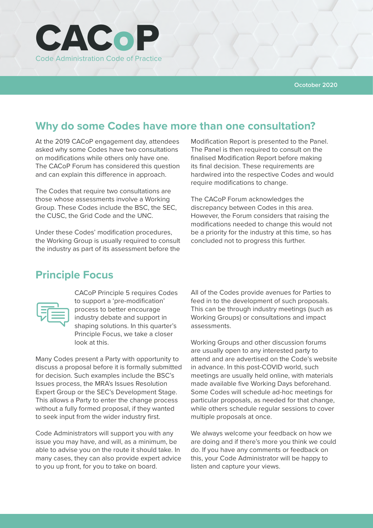

# **Why do some Codes have more than one consultation?**

At the 2019 CACoP engagement day, attendees asked why some Codes have two consultations on modifications while others only have one. The CACoP Forum has considered this question and can explain this difference in approach.

The Codes that require two consultations are those whose assessments involve a Working Group. These Codes include the BSC, the SEC, the CUSC, the Grid Code and the UNC.

Under these Codes' modification procedures, the Working Group is usually required to consult the industry as part of its assessment before the

Modification Report is presented to the Panel. The Panel is then required to consult on the finalised Modification Report before making its final decision. These requirements are hardwired into the respective Codes and would require modifications to change.

The CACoP Forum acknowledges the discrepancy between Codes in this area. However, the Forum considers that raising the modifications needed to change this would not be a priority for the industry at this time, so has concluded not to progress this further.

## **Principle Focus**



CACoP Principle 5 requires Codes to support a 'pre-modification' process to better encourage industry debate and support in shaping solutions. In this quarter's Principle Focus, we take a closer look at this.

Many Codes present a Party with opportunity to discuss a proposal before it is formally submitted for decision. Such examples include the BSC's Issues process, the MRA's Issues Resolution Expert Group or the SEC's Development Stage. This allows a Party to enter the change process without a fully formed proposal, if they wanted to seek input from the wider industry first.

Code Administrators will support you with any issue you may have, and will, as a minimum, be able to advise you on the route it should take. In many cases, they can also provide expert advice to you up front, for you to take on board.

All of the Codes provide avenues for Parties to feed in to the development of such proposals. This can be through industry meetings (such as Working Groups) or consultations and impact assessments.

Working Groups and other discussion forums are usually open to any interested party to attend and are advertised on the Code's website in advance. In this post-COVID world, such meetings are usually held online, with materials made available five Working Days beforehand. Some Codes will schedule ad-hoc meetings for particular proposals, as needed for that change, while others schedule regular sessions to cover multiple proposals at once.

We always welcome your feedback on how we are doing and if there's more you think we could do. If you have any comments or feedback on this, your Code Administrator will be happy to listen and capture your views.